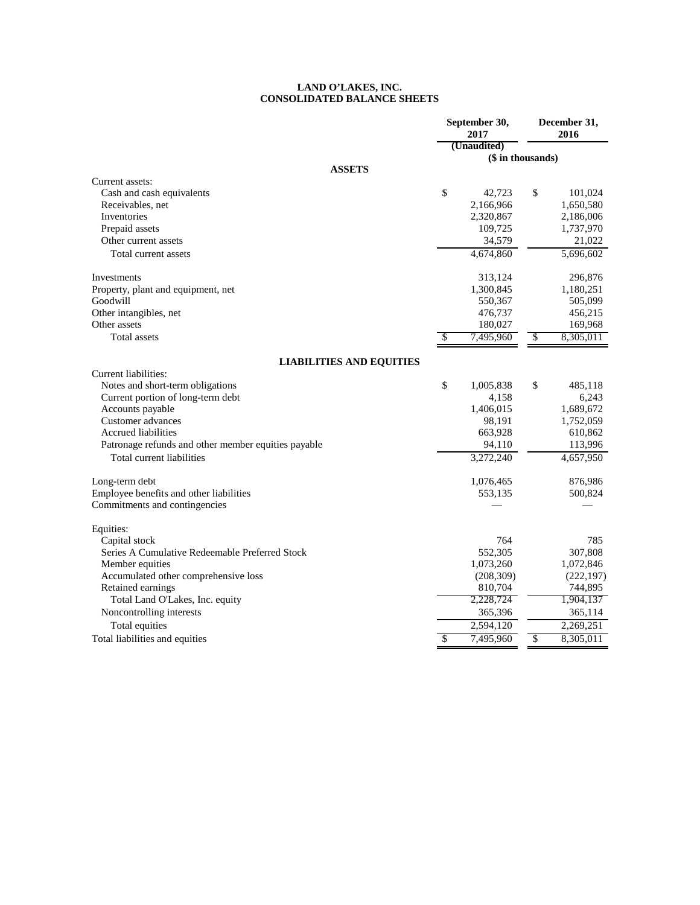## **LAND O'LAKES, INC. CONSOLIDATED BALANCE SHEETS**

|                                                     | September 30,<br>2017 | December 31,<br>2016      |            |  |
|-----------------------------------------------------|-----------------------|---------------------------|------------|--|
|                                                     | (Unaudited)           |                           |            |  |
|                                                     | (\$ in thousands)     |                           |            |  |
| <b>ASSETS</b>                                       |                       |                           |            |  |
| Current assets:                                     |                       |                           |            |  |
| Cash and cash equivalents                           | \$<br>42,723          | \$                        | 101,024    |  |
| Receivables, net                                    | 2,166,966             |                           | 1,650,580  |  |
| Inventories                                         | 2,320,867             |                           | 2,186,006  |  |
| Prepaid assets                                      | 109,725               |                           | 1,737,970  |  |
| Other current assets                                | 34,579                |                           | 21,022     |  |
| Total current assets                                | 4,674,860             |                           | 5,696,602  |  |
| Investments                                         | 313,124               |                           | 296,876    |  |
| Property, plant and equipment, net                  | 1,300,845             |                           | 1,180,251  |  |
| Goodwill                                            | 550,367               |                           | 505,099    |  |
| Other intangibles, net                              | 476,737               |                           | 456,215    |  |
| Other assets                                        | 180,027               |                           | 169,968    |  |
| <b>Total assets</b>                                 | \$<br>7,495,960       | $\boldsymbol{\mathsf{S}}$ | 8,305,011  |  |
| <b>LIABILITIES AND EQUITIES</b>                     |                       |                           |            |  |
| Current liabilities:                                |                       |                           |            |  |
| Notes and short-term obligations                    | \$<br>1,005,838       | \$                        | 485,118    |  |
| Current portion of long-term debt                   | 4,158                 |                           | 6,243      |  |
| Accounts payable                                    | 1,406,015             |                           | 1,689,672  |  |
| Customer advances                                   | 98,191                |                           | 1,752,059  |  |
| <b>Accrued liabilities</b>                          | 663,928               |                           | 610,862    |  |
| Patronage refunds and other member equities payable | 94,110                |                           | 113,996    |  |
| Total current liabilities                           | 3,272,240             |                           | 4,657,950  |  |
| Long-term debt                                      | 1,076,465             |                           | 876,986    |  |
| Employee benefits and other liabilities             | 553,135               |                           | 500,824    |  |
| Commitments and contingencies                       |                       |                           |            |  |
| Equities:                                           |                       |                           |            |  |
| Capital stock                                       | 764                   |                           | 785        |  |
| Series A Cumulative Redeemable Preferred Stock      | 552,305               |                           | 307,808    |  |
| Member equities                                     | 1,073,260             |                           | 1,072,846  |  |
| Accumulated other comprehensive loss                | (208, 309)            |                           | (222, 197) |  |
| Retained earnings                                   | 810,704               |                           | 744,895    |  |
| Total Land O'Lakes, Inc. equity                     | 2,228,724             |                           | 1,904,137  |  |
| Noncontrolling interests                            | 365,396               |                           | 365,114    |  |
| Total equities                                      | 2,594,120             |                           | 2,269,251  |  |
| Total liabilities and equities                      | \$<br>7,495,960       | \$                        | 8,305,011  |  |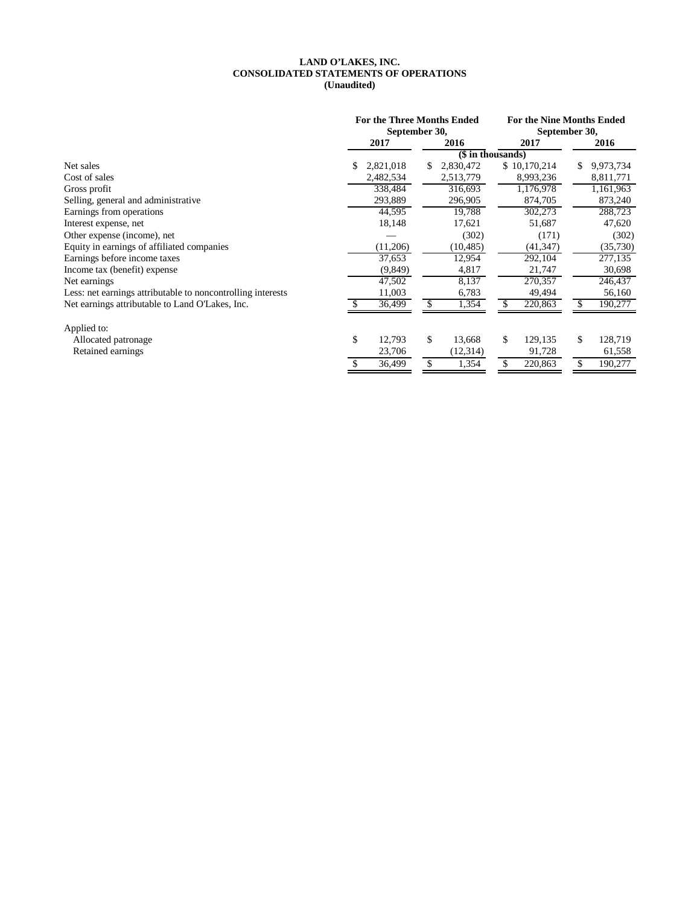## **CONSOLIDATED STATEMENTS OF OPERATIONS LAND O'LAKES, INC. (Unaudited)**

|                                                             | <b>For the Three Months Ended</b><br>September 30, |           |    |                   | <b>For the Nine Months Ended</b><br>September 30, |              |    |           |  |
|-------------------------------------------------------------|----------------------------------------------------|-----------|----|-------------------|---------------------------------------------------|--------------|----|-----------|--|
|                                                             |                                                    | 2017      |    | 2016              |                                                   | 2017         |    | 2016      |  |
|                                                             |                                                    |           |    | (\$ in thousands) |                                                   |              |    |           |  |
| Net sales                                                   | S.                                                 | 2,821,018 | S. | 2,830,472         |                                                   | \$10,170,214 | \$ | 9,973,734 |  |
| Cost of sales                                               |                                                    | 2,482,534 |    | 2,513,779         |                                                   | 8,993,236    |    | 8,811,771 |  |
| Gross profit                                                |                                                    | 338,484   |    | 316,693           |                                                   | 1,176,978    |    | 1,161,963 |  |
| Selling, general and administrative                         |                                                    | 293,889   |    | 296,905           |                                                   | 874,705      |    | 873,240   |  |
| Earnings from operations                                    |                                                    | 44,595    |    | 19,788            |                                                   | 302,273      |    | 288,723   |  |
| Interest expense, net                                       |                                                    | 18,148    |    | 17,621            |                                                   | 51,687       |    | 47,620    |  |
| Other expense (income), net                                 |                                                    |           |    | (302)             |                                                   | (171)        |    | (302)     |  |
| Equity in earnings of affiliated companies                  |                                                    | (11,206)  |    | (10, 485)         |                                                   | (41, 347)    |    | (35,730)  |  |
| Earnings before income taxes                                |                                                    | 37,653    |    | 12,954            |                                                   | 292,104      |    | 277,135   |  |
| Income tax (benefit) expense                                |                                                    | (9, 849)  |    | 4,817             |                                                   | 21,747       |    | 30,698    |  |
| Net earnings                                                |                                                    | 47,502    |    | 8,137             |                                                   | 270,357      |    | 246,437   |  |
| Less: net earnings attributable to noncontrolling interests |                                                    | 11,003    |    | 6,783             |                                                   | 49,494       |    | 56,160    |  |
| Net earnings attributable to Land O'Lakes, Inc.             |                                                    | 36,499    | S. | 1,354             |                                                   | 220,863      |    | 190,277   |  |
| Applied to:                                                 |                                                    |           |    |                   |                                                   |              |    |           |  |
| Allocated patronage                                         | \$                                                 | 12,793    | \$ | 13,668            | \$                                                | 129,135      | \$ | 128,719   |  |
| Retained earnings                                           |                                                    | 23,706    |    | (12,314)          |                                                   | 91,728       |    | 61,558    |  |
|                                                             |                                                    | 36,499    |    | 1,354             |                                                   | 220,863      |    | 190,277   |  |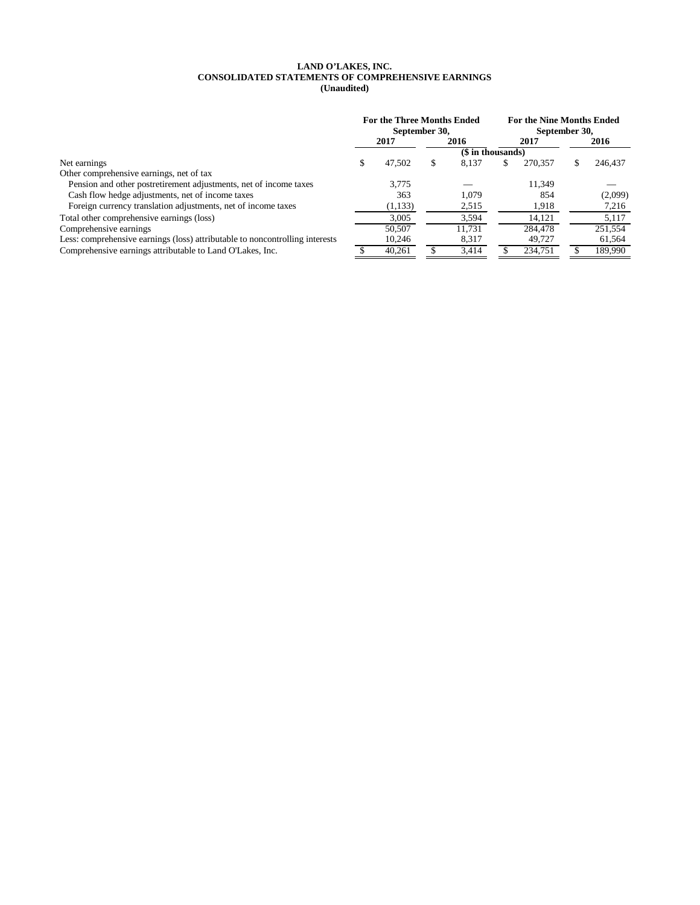## **LAND O'LAKES, INC. CONSOLIDATED STATEMENTS OF COMPREHENSIVE EARNINGS (Unaudited)**

|                                                                              | <b>For the Three Months Ended</b><br>September 30, |              | <b>For the Nine Months Ended</b><br>September 30, |        |    |         |      |         |
|------------------------------------------------------------------------------|----------------------------------------------------|--------------|---------------------------------------------------|--------|----|---------|------|---------|
|                                                                              |                                                    | 2017<br>2016 |                                                   | 2017   |    |         | 2016 |         |
|                                                                              |                                                    |              | $(s$ in thousands)                                |        |    |         |      |         |
| Net earnings                                                                 | S                                                  | 47,502       | S                                                 | 8,137  | \$ | 270,357 |      | 246,437 |
| Other comprehensive earnings, net of tax                                     |                                                    |              |                                                   |        |    |         |      |         |
| Pension and other postretirement adjustments, net of income taxes            |                                                    | 3.775        |                                                   |        |    | 11,349  |      |         |
| Cash flow hedge adjustments, net of income taxes                             |                                                    | 363          |                                                   | 1.079  |    | 854     |      | (2,099) |
| Foreign currency translation adjustments, net of income taxes                |                                                    | (1,133)      |                                                   | 2,515  |    | 1,918   |      | 7,216   |
| Total other comprehensive earnings (loss)                                    |                                                    | 3.005        |                                                   | 3,594  |    | 14.121  |      | 5.117   |
| Comprehensive earnings                                                       |                                                    | 50.507       |                                                   | 11.731 |    | 284,478 |      | 251,554 |
| Less: comprehensive earnings (loss) attributable to noncontrolling interests |                                                    | 10,246       |                                                   | 8,317  |    | 49,727  |      | 61,564  |
| Comprehensive earnings attributable to Land O'Lakes, Inc.                    |                                                    | 40.261       |                                                   | 3.414  |    | 234,751 |      | 189.990 |